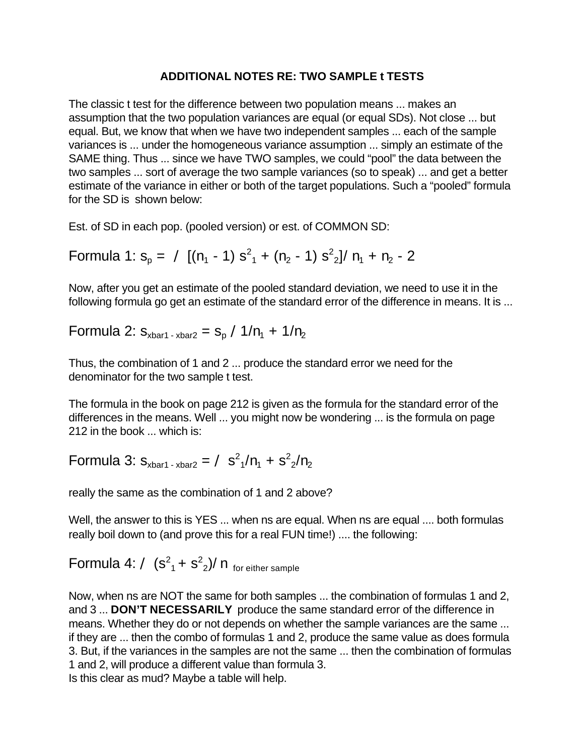## **ADDITIONAL NOTES RE: TWO SAMPLE t TESTS**

The classic t test for the difference between two population means ... makes an assumption that the two population variances are equal (or equal SDs). Not close ... but equal. But, we know that when we have two independent samples ... each of the sample variances is ... under the homogeneous variance assumption ... simply an estimate of the SAME thing. Thus ... since we have TWO samples, we could "pool" the data between the two samples ... sort of average the two sample variances (so to speak) ... and get a better estimate of the variance in either or both of the target populations. Such a "pooled" formula for the SD is shown below:

Est. of SD in each pop. (pooled version) or est. of COMMON SD:

Formula 1: 
$$
s_p = \angle [(n_1 - 1) s^2 + (n_2 - 1) s^2] / n_1 + n_2 - 2
$$

Now, after you get an estimate of the pooled standard deviation, we need to use it in the following formula go get an estimate of the standard error of the difference in means. It is ...

Formula 2:  $s_{\text{xbar1 - xbar2}} = s_{\text{p}}$  /1/ $n_{\text{1}}$  + 1/ $n_{\text{2}}$ 

Thus, the combination of 1 and 2 ... produce the standard error we need for the denominator for the two sample t test.

The formula in the book on page 212 is given as the formula for the standard error of the differences in the means. Well ... you might now be wondering ... is the formula on page 212 in the book ... which is:

Formula 3:  $s_{\text{xbar1 - xbar2}} = \angle s^2 / n_1 + s^2 / n_2$ 

really the same as the combination of 1 and 2 above?

Well, the answer to this is YES ... when ns are equal. When ns are equal .... both formulas really boil down to (and prove this for a real FUN time!) .... the following:

Formula 4: /  $(s^2 + s^2)$ / n <sub>for either sample</sub>

Now, when ns are NOT the same for both samples ... the combination of formulas 1 and 2, and 3 ... **DON'T NECESSARILY** produce the same standard error of the difference in means. Whether they do or not depends on whether the sample variances are the same ... if they are ... then the combo of formulas 1 and 2, produce the same value as does formula 3. But, if the variances in the samples are not the same ... then the combination of formulas 1 and 2, will produce a different value than formula 3. Is this clear as mud? Maybe a table will help.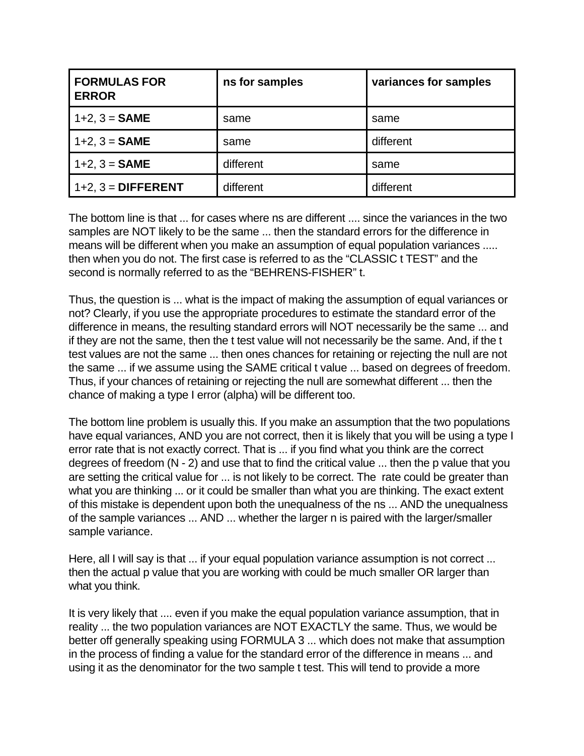| <b>FORMULAS FOR</b><br><b>ERROR</b> | ns for samples | variances for samples |
|-------------------------------------|----------------|-----------------------|
| $1+2$ , $3 =$ SAME                  | same           | same                  |
| $1+2$ , $3 =$ SAME                  | same           | different             |
| $1+2$ , $3 =$ <b>SAME</b>           | different      | same                  |
| $1+2$ , $3 =$ DIFFERENT             | different      | different             |

The bottom line is that ... for cases where ns are different .... since the variances in the two samples are NOT likely to be the same ... then the standard errors for the difference in means will be different when you make an assumption of equal population variances ..... then when you do not. The first case is referred to as the "CLASSIC t TEST" and the second is normally referred to as the "BEHRENS-FISHER" t.

Thus, the question is ... what is the impact of making the assumption of equal variances or not? Clearly, if you use the appropriate procedures to estimate the standard error of the difference in means, the resulting standard errors will NOT necessarily be the same ... and if they are not the same, then the t test value will not necessarily be the same. And, if the t test values are not the same ... then ones chances for retaining or rejecting the null are not the same ... if we assume using the SAME critical t value ... based on degrees of freedom. Thus, if your chances of retaining or rejecting the null are somewhat different ... then the chance of making a type I error (alpha) will be different too.

The bottom line problem is usually this. If you make an assumption that the two populations have equal variances, AND you are not correct, then it is likely that you will be using a type I error rate that is not exactly correct. That is ... if you find what you think are the correct degrees of freedom (N - 2) and use that to find the critical value ... then the p value that you are setting the critical value for ... is not likely to be correct. The rate could be greater than what you are thinking ... or it could be smaller than what you are thinking. The exact extent of this mistake is dependent upon both the unequalness of the ns ... AND the unequalness of the sample variances ... AND ... whether the larger n is paired with the larger/smaller sample variance.

Here, all I will say is that ... if your equal population variance assumption is not correct ... then the actual p value that you are working with could be much smaller OR larger than what you think.

It is very likely that .... even if you make the equal population variance assumption, that in reality ... the two population variances are NOT EXACTLY the same. Thus, we would be better off generally speaking using FORMULA 3 ... which does not make that assumption in the process of finding a value for the standard error of the difference in means ... and using it as the denominator for the two sample t test. This will tend to provide a more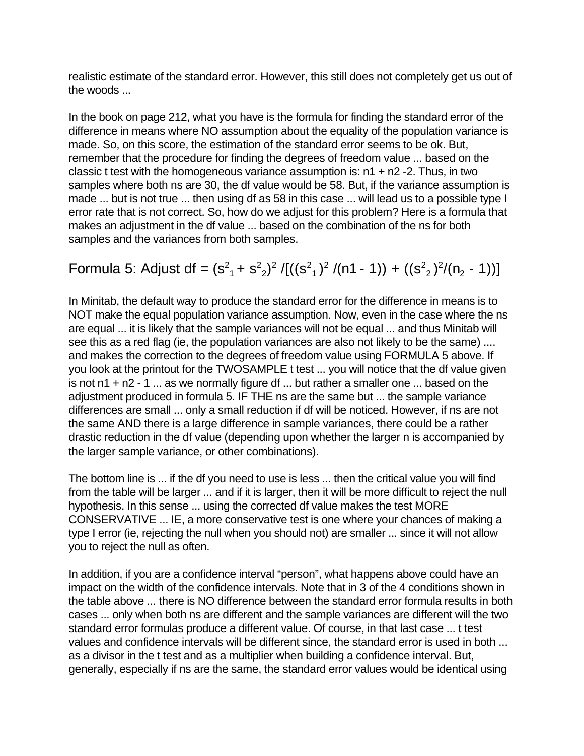realistic estimate of the standard error. However, this still does not completely get us out of the woods ...

In the book on page 212, what you have is the formula for finding the standard error of the difference in means where NO assumption about the equality of the population variance is made. So, on this score, the estimation of the standard error seems to be ok. But, remember that the procedure for finding the degrees of freedom value ... based on the classic t test with the homogeneous variance assumption is:  $n1 + n2 - 2$ . Thus, in two samples where both ns are 30, the df value would be 58. But, if the variance assumption is made ... but is not true ... then using df as 58 in this case ... will lead us to a possible type I error rate that is not correct. So, how do we adjust for this problem? Here is a formula that makes an adjustment in the df value ... based on the combination of the ns for both samples and the variances from both samples.

Formula 5: Adjust df = 
$$
(s^2 + s^2)^2 / [((s^2 + 1)^2 / (n1 - 1)) + ((s^2 + 2)^2 / (n^2 - 1))]
$$

In Minitab, the default way to produce the standard error for the difference in means is to NOT make the equal population variance assumption. Now, even in the case where the ns are equal ... it is likely that the sample variances will not be equal ... and thus Minitab will see this as a red flag (ie, the population variances are also not likely to be the same) .... and makes the correction to the degrees of freedom value using FORMULA 5 above. If you look at the printout for the TWOSAMPLE t test ... you will notice that the df value given is not n1 + n2 - 1 ... as we normally figure df ... but rather a smaller one ... based on the adjustment produced in formula 5. IF THE ns are the same but ... the sample variance differences are small ... only a small reduction if df will be noticed. However, if ns are not the same AND there is a large difference in sample variances, there could be a rather drastic reduction in the df value (depending upon whether the larger n is accompanied by the larger sample variance, or other combinations).

The bottom line is ... if the df you need to use is less ... then the critical value you will find from the table will be larger ... and if it is larger, then it will be more difficult to reject the null hypothesis. In this sense ... using the corrected df value makes the test MORE CONSERVATIVE ... IE, a more conservative test is one where your chances of making a type I error (ie, rejecting the null when you should not) are smaller ... since it will not allow you to reject the null as often.

In addition, if you are a confidence interval "person", what happens above could have an impact on the width of the confidence intervals. Note that in 3 of the 4 conditions shown in the table above ... there is NO difference between the standard error formula results in both cases ... only when both ns are different and the sample variances are different will the two standard error formulas produce a different value. Of course, in that last case ... t test values and confidence intervals will be different since, the standard error is used in both ... as a divisor in the t test and as a multiplier when building a confidence interval. But, generally, especially if ns are the same, the standard error values would be identical using